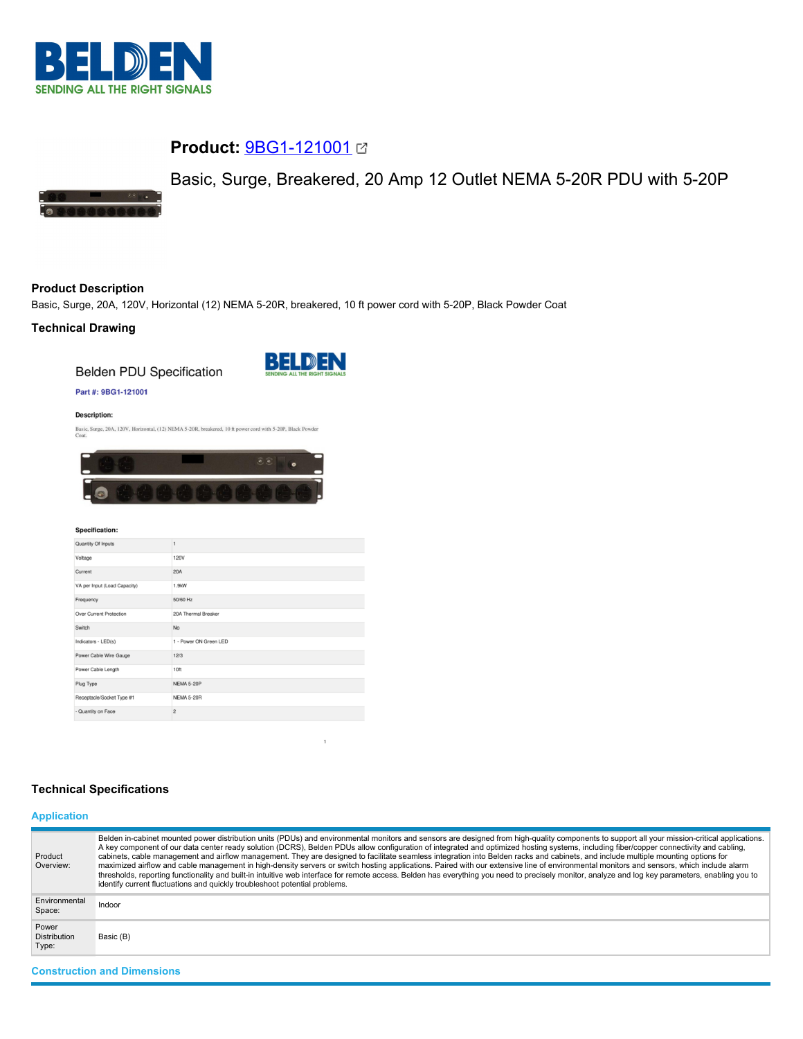

# **Product:** [9BG1-121001](https://catalog.belden.com/index.cfm?event=pd&p=PF_9BG1121001&tab=downloads)

# Basic, Surge, Breakered, 20 Amp 12 Outlet NEMA 5-20R PDU with 5-20P



# **Product Description**

Basic, Surge, 20A, 120V, Horizontal (12) NEMA 5-20R, breakered, 10 ft power cord with 5-20P, Black Powder Coat

# **Technical Drawing**

**Belden PDU Specification** 



## Part #: 9BG1-121001

**Description:** 

Basic, Surge, 20A, 120V, Horizontal, (12) NEMA 5-20R, breakered, 10 ft power cord with 5-20P, Black Powder Coat.



#### Specification:

| Quantity Of Inputs           |                        |
|------------------------------|------------------------|
| Voltage                      | 120V                   |
| Current                      | 20A                    |
| VA per Input (Load Capacity) | 1.9kW                  |
| Frequency                    | 50/60 Hz               |
| Over Current Protection      | 20A Thermal Breaker    |
| Switch                       | <b>No</b>              |
| Indicators - LED(s)          | 1 - Power ON Green LED |
| Power Cable Wire Gauge       | 12/3                   |
| Power Cable Length           | 10ft                   |
| Plug Type                    | NEMA 5-20P             |
| Receptacle/Socket Type #1    | <b>NEMA 5-20R</b>      |
| - Quantity on Face           | $\overline{2}$         |
|                              |                        |

## **Technical Specifications**

# **Application**

| Product<br>Overview:                  | Belden in-cabinet mounted power distribution units (PDUs) and environmental monitors and sensors are designed from high-quality components to support all your mission-critical applications.<br>A key component of our data center ready solution (DCRS), Belden PDUs allow configuration of integrated and optimized hosting systems, including fiber/copper connectivity and cabling,<br>cabinets, cable management and airflow management. They are designed to facilitate seamless integration into Belden racks and cabinets, and include multiple mounting options for<br>maximized airflow and cable management in high-density servers or switch hosting applications. Paired with our extensive line of environmental monitors and sensors, which include alarm<br>thresholds, reporting functionality and built-in intuitive web interface for remote access. Belden has everything you need to precisely monitor, analyze and log key parameters, enabling you to<br>identify current fluctuations and quickly troubleshoot potential problems. |
|---------------------------------------|-------------------------------------------------------------------------------------------------------------------------------------------------------------------------------------------------------------------------------------------------------------------------------------------------------------------------------------------------------------------------------------------------------------------------------------------------------------------------------------------------------------------------------------------------------------------------------------------------------------------------------------------------------------------------------------------------------------------------------------------------------------------------------------------------------------------------------------------------------------------------------------------------------------------------------------------------------------------------------------------------------------------------------------------------------------|
| Environmental<br>Space:               | Indoor                                                                                                                                                                                                                                                                                                                                                                                                                                                                                                                                                                                                                                                                                                                                                                                                                                                                                                                                                                                                                                                      |
| Power<br><b>Distribution</b><br>Type: | Basic (B)                                                                                                                                                                                                                                                                                                                                                                                                                                                                                                                                                                                                                                                                                                                                                                                                                                                                                                                                                                                                                                                   |

**Construction and Dimensions**